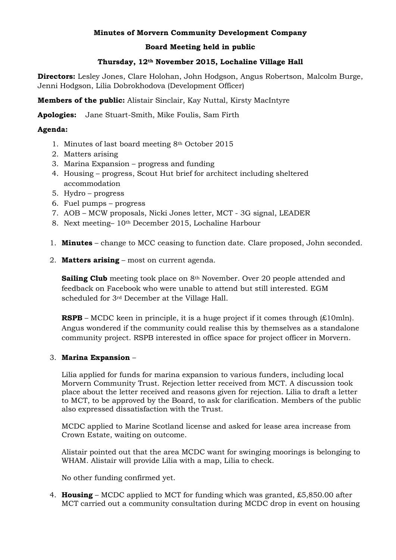## **Minutes of Morvern Community Development Company**

## **Board Meeting held in public**

#### **Thursday, 12th November 2015, Lochaline Village Hall**

**Directors:** Lesley Jones, Clare Holohan, John Hodgson, Angus Robertson, Malcolm Burge, Jenni Hodgson, Lilia Dobrokhodova (Development Officer)

**Members of the public:** Alistair Sinclair, Kay Nuttal, Kirsty MacIntyre

**Apologies:** Jane Stuart-Smith, Mike Foulis, Sam Firth

## **Agenda:**

- 1. Minutes of last board meeting 8th October 2015
- 2. Matters arising
- 3. Marina Expansion progress and funding
- 4. Housing progress, Scout Hut brief for architect including sheltered accommodation
- 5. Hydro progress
- 6. Fuel pumps progress
- 7. AOB MCW proposals, Nicki Jones letter, MCT 3G signal, LEADER
- 8. Next meeting– 10<sup>th</sup> December 2015, Lochaline Harbour
- 1. **Minutes** change to MCC ceasing to function date. Clare proposed, John seconded.
- 2. **Matters arising** most on current agenda.

**Sailing Club** meeting took place on 8<sup>th</sup> November. Over 20 people attended and feedback on Facebook who were unable to attend but still interested. EGM scheduled for 3rd December at the Village Hall.

**RSPB** – MCDC keen in principle, it is a huge project if it comes through  $(E10mln)$ . Angus wondered if the community could realise this by themselves as a standalone community project. RSPB interested in office space for project officer in Morvern.

#### 3. **Marina Expansion** –

Lilia applied for funds for marina expansion to various funders, including local Morvern Community Trust. Rejection letter received from MCT. A discussion took place about the letter received and reasons given for rejection. Lilia to draft a letter to MCT, to be approved by the Board, to ask for clarification. Members of the public also expressed dissatisfaction with the Trust.

MCDC applied to Marine Scotland license and asked for lease area increase from Crown Estate, waiting on outcome.

Alistair pointed out that the area MCDC want for swinging moorings is belonging to WHAM. Alistair will provide Lilia with a map, Lilia to check.

No other funding confirmed yet.

4. **Housing** – MCDC applied to MCT for funding which was granted, £5,850.00 after MCT carried out a community consultation during MCDC drop in event on housing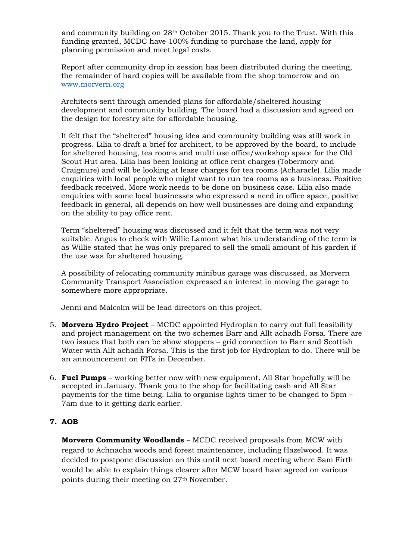and community building on 28th October 2015. Thank you to the Trust. With this funding granted, MCDC have 100% funding to purchase the land, apply for planning permission and meet legal costs.

Report after community drop in session has been distributed during the meeting, the remainder of hard copies will be available from the shop tomorrow and on [www.morvern.org](http://www.morvern.org/)

Architects sent through amended plans for affordable/sheltered housing development and community building. The board had a discussion and agreed on the design for forestry site for affordable housing.

It felt that the "sheltered" housing idea and community building was still work in progress. Lilia to draft a brief for architect, to be approved by the board, to include for sheltered housing, tea rooms and multi use office/workshop space for the Old Scout Hut area. Lilia has been looking at office rent charges (Tobermory and Craignure) and will be looking at lease charges for tea rooms (Acharacle). Lilia made enquiries with local people who might want to run tea rooms as a business. Positive feedback received. More work needs to be done on business case. Lilia also made enquiries with some local businesses who expressed a need in office space, positive feedback in general, all depends on how well businesses are doing and expanding on the ability to pay office rent.

Term "sheltered" housing was discussed and it felt that the term was not very suitable. Angus to check with Willie Lamont what his understanding of the term is as Willie stated that he was only prepared to sell the small amount of his garden if the use was for sheltered housing.

A possibility of relocating community minibus garage was discussed, as Morvern Community Transport Association expressed an interest in moving the garage to somewhere more appropriate.

Jenni and Malcolm will be lead directors on this project.

- 5. **Morvern Hydro Project** MCDC appointed Hydroplan to carry out full feasibility and project management on the two schemes Barr and Allt achadh Forsa. There are two issues that both can be show stoppers – grid connection to Barr and Scottish Water with Allt achadh Forsa. This is the first job for Hydroplan to do. There will be an announcement on FITs in December.
- 6. **Fuel Pumps**  working better now with new equipment. All Star hopefully will be accepted in January. Thank you to the shop for facilitating cash and All Star payments for the time being. Lilia to organise lights timer to be changed to 5pm – 7am due to it getting dark earlier.

# **7. AOB**

**Morvern Community Woodlands** – MCDC received proposals from MCW with regard to Achnacha woods and forest maintenance, including Hazelwood. It was decided to postpone discussion on this until next board meeting where Sam Firth would be able to explain things clearer after MCW board have agreed on various points during their meeting on 27th November.